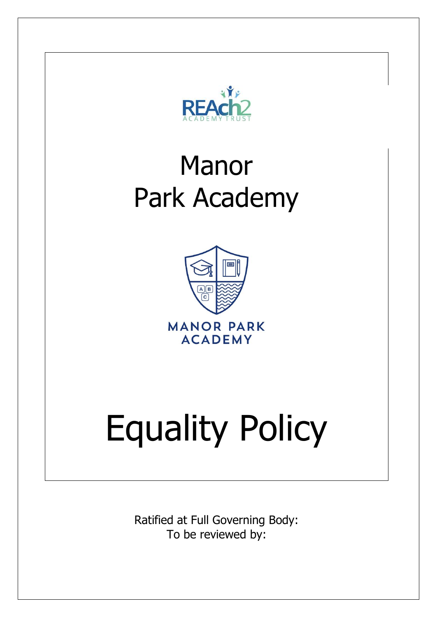

Ratified at Full Governing Body: To be reviewed by: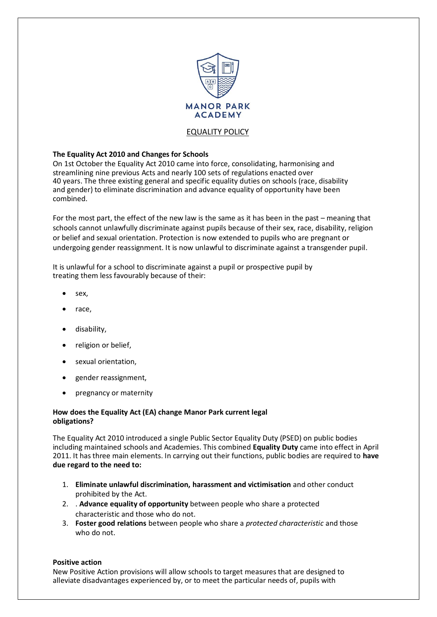

# **The Equality Act 2010 and Changes for Schools**

On 1st October the Equality Act 2010 came into force, consolidating, harmonising and streamlining nine previous Acts and nearly 100 sets of regulations enacted over 40 years. The three existing general and specific equality duties on schools (race, disability and gender) to eliminate discrimination and advance equality of opportunity have been combined.

For the most part, the effect of the new law is the same as it has been in the past – meaning that schools cannot unlawfully discriminate against pupils because of their sex, race, disability, religion or belief and sexual orientation. Protection is now extended to pupils who are pregnant or undergoing gender reassignment. It is now unlawful to discriminate against a transgender pupil.

It is unlawful for a school to discriminate against a pupil or prospective pupil by treating them less favourably because of their:

- sex,
- race.
- disability,
- religion or belief,
- sexual orientation,
- gender reassignment,
- pregnancy or maternity

# **How does the Equality Act (EA) change Manor Park current legal obligations?**

The Equality Act 2010 introduced a single Public Sector Equality Duty (PSED) on public bodies including maintained schools and Academies. This combined **Equality Duty** came into effect in April 2011. It has three main elements. In carrying out their functions, public bodies are required to **have due regard to the need to:**

- 1. **Eliminate unlawful discrimination, harassment and victimisation** and other conduct prohibited by the Act.
- 2. . **Advance equality of opportunity** between people who share a protected characteristic and those who do not.
- 3. **Foster good relations** between people who share a *protected characteristic* and those who do not.

## **Positive action**

New Positive Action provisions will allow schools to target measures that are designed to alleviate disadvantages experienced by, or to meet the particular needs of, pupils with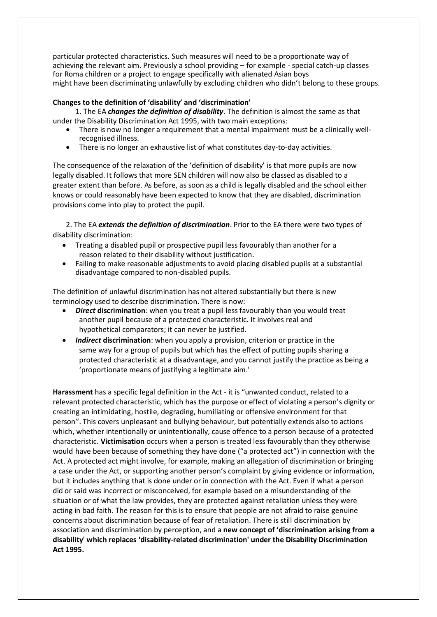particular protected characteristics. Such measures will need to be a proportionate way of achieving the relevant aim. Previously a school providing – for example - special catch-up classes for Roma children or a project to engage specifically with alienated Asian boys might have been discriminating unlawfully by excluding children who didn't belong to these groups.

## **Changes to the definition of 'disability' and 'discrimination'**

1. The EA *changes the definition of disability*. The definition is almost the same as that under the Disability Discrimination Act 1995, with two main exceptions:

- There is now no longer a requirement that a mental impairment must be a clinically wellrecognised illness.
- There is no longer an exhaustive list of what constitutes day-to-day activities.

The consequence of the relaxation of the 'definition of disability' is that more pupils are now legally disabled. It follows that more SEN children will now also be classed as disabled to a greater extent than before. As before, as soon as a child is legally disabled and the school either knows or could reasonably have been expected to know that they are disabled, discrimination provisions come into play to protect the pupil.

2. The EA *extends the definition of discrimination*. Prior to the EA there were two types of disability discrimination:

- Treating a disabled pupil or prospective pupil less favourably than another for a reason related to their disability without justification.
- Failing to make reasonable adjustments to avoid placing disabled pupils at a substantial disadvantage compared to non-disabled pupils.

The definition of unlawful discrimination has not altered substantially but there is new terminology used to describe discrimination. There is now:

- *Direct* **discrimination**: when you treat a pupil less favourably than you would treat another pupil because of a protected characteristic. It involves real and hypothetical comparators; it can never be justified.
- *Indirect* **discrimination**: when you apply a provision, criterion or practice in the same way for a group of pupils but which has the effect of putting pupils sharing a protected characteristic at a disadvantage, and you cannot justify the practice as being a 'proportionate means of justifying a legitimate aim.'

**Harassment** has a specific legal definition in the Act - it is "unwanted conduct, related to a relevant protected characteristic, which has the purpose or effect of violating a person's dignity or creating an intimidating, hostile, degrading, humiliating or offensive environment for that person". This covers unpleasant and bullying behaviour, but potentially extends also to actions which, whether intentionally or unintentionally, cause offence to a person because of a protected characteristic. **Victimisation** occurs when a person is treated less favourably than they otherwise would have been because of something they have done ("a protected act") in connection with the Act. A protected act might involve, for example, making an allegation of discrimination or bringing a case under the Act, or supporting another person's complaint by giving evidence or information, but it includes anything that is done under or in connection with the Act. Even if what a person did or said was incorrect or misconceived, for example based on a misunderstanding of the situation or of what the law provides, they are protected against retaliation unless they were acting in bad faith. The reason for this is to ensure that people are not afraid to raise genuine concerns about discrimination because of fear of retaliation. There is still discrimination by association and discrimination by perception, and a **new concept of 'discrimination arising from a disability' which replaces 'disability-related discrimination' under the Disability Discrimination Act 1995.**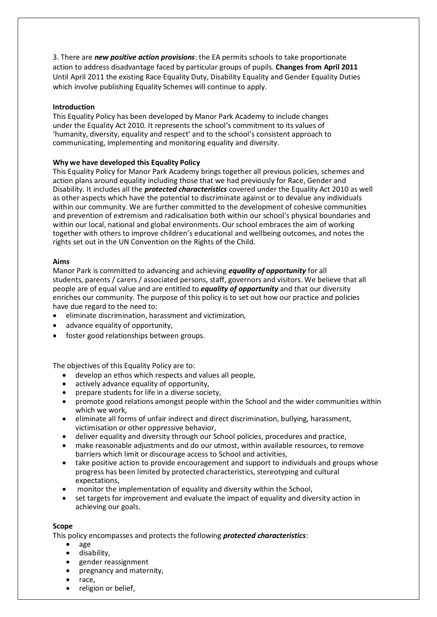3. There are *new positive action provisions*: the EA permits schools to take proportionate action to address disadvantage faced by particular groups of pupils. **Changes from April 2011** Until April 2011 the existing Race Equality Duty, Disability Equality and Gender Equality Duties which involve publishing Equality Schemes will continue to apply.

## **Introduction**

This Equality Policy has been developed by Manor Park Academy to include changes under the Equality Act 2010. It represents the school's commitment to its values of 'humanity, diversity, equality and respect' and to the school's consistent approach to communicating, implementing and monitoring equality and diversity.

# **Why we have developed this Equality Policy**

This Equality Policy for Manor Park Academy brings together all previous policies, schemes and action plans around equality including those that we had previously for Race, Gender and Disability. It includes all the *protected characteristics* covered under the Equality Act 2010 as well as other aspects which have the potential to discriminate against or to devalue any individuals within our community. We are further committed to the development of cohesive communities and prevention of extremism and radicalisation both within our school's physical boundaries and within our local, national and global environments. Our school embraces the aim of working together with others to improve children's educational and wellbeing outcomes, and notes the rights set out in the UN Convention on the Rights of the Child.

# **Aims**

Manor Park is committed to advancing and achieving *equality of opportunity* for all students, parents / carers / associated persons, staff, governors and visitors. We believe that all people are of equal value and are entitled to *equality of opportunity* and that our diversity enriches our community. The purpose of this policy is to set out how our practice and policies have due regard to the need to:

- eliminate discrimination, harassment and victimization,
- advance equality of opportunity,
- foster good relationships between groups.

The objectives of this Equality Policy are to:

- develop an ethos which respects and values all people,
- actively advance equality of opportunity,
- prepare students for life in a diverse society,
- promote good relations amongst people within the School and the wider communities within which we work,
- eliminate all forms of unfair indirect and direct discrimination, bullying, harassment, victimisation or other oppressive behavior,
- deliver equality and diversity through our School policies, procedures and practice,
- make reasonable adjustments and do our utmost, within available resources, to remove barriers which limit or discourage access to School and activities,
- take positive action to provide encouragement and support to individuals and groups whose progress has been limited by protected characteristics, stereotyping and cultural expectations,
- monitor the implementation of equality and diversity within the School,
- set targets for improvement and evaluate the impact of equality and diversity action in achieving our goals.

## **Scope**

This policy encompasses and protects the following *protected characteristics*:

- age
- disability,
- gender reassignment
- pregnancy and maternity,
- race,
- religion or belief,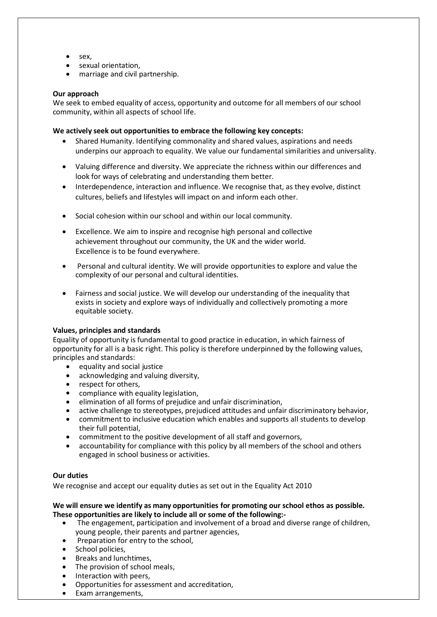- sex,
- sexual orientation,
- marriage and civil partnership.

## **Our approach**

We seek to embed equality of access, opportunity and outcome for all members of our school community, within all aspects of school life.

#### **We actively seek out opportunities to embrace the following key concepts:**

- Shared Humanity. Identifying commonality and shared values, aspirations and needs underpins our approach to equality. We value our fundamental similarities and universality.
- Valuing difference and diversity. We appreciate the richness within our differences and look for ways of celebrating and understanding them better.
- Interdependence, interaction and influence. We recognise that, as they evolve, distinct cultures, beliefs and lifestyles will impact on and inform each other.
- Social cohesion within our school and within our local community.
- Excellence. We aim to inspire and recognise high personal and collective achievement throughout our community, the UK and the wider world. Excellence is to be found everywhere.
- Personal and cultural identity. We will provide opportunities to explore and value the complexity of our personal and cultural identities.
- Fairness and social justice. We will develop our understanding of the inequality that exists in society and explore ways of individually and collectively promoting a more equitable society.

## **Values, principles and standards**

Equality of opportunity is fundamental to good practice in education, in which fairness of opportunity for all is a basic right. This policy is therefore underpinned by the following values, principles and standards:

- equality and social justice
- acknowledging and valuing diversity,
- respect for others,
- compliance with equality legislation,
- elimination of all forms of prejudice and unfair discrimination,
- active challenge to stereotypes, prejudiced attitudes and unfair discriminatory behavior,
- commitment to inclusive education which enables and supports all students to develop their full potential,
- commitment to the positive development of all staff and governors,
- accountability for compliance with this policy by all members of the school and others engaged in school business or activities.

## **Our duties**

We recognise and accept our equality duties as set out in the Equality Act 2010

#### **We will ensure we identify as many opportunities for promoting our school ethos as possible. These opportunities are likely to include all or some of the following:-**

- The engagement, participation and involvement of a broad and diverse range of children, young people, their parents and partner agencies,
- Preparation for entry to the school,
- School policies,
- Breaks and lunchtimes,
- The provision of school meals,
- Interaction with peers,
- Opportunities for assessment and accreditation,
- Exam arrangements,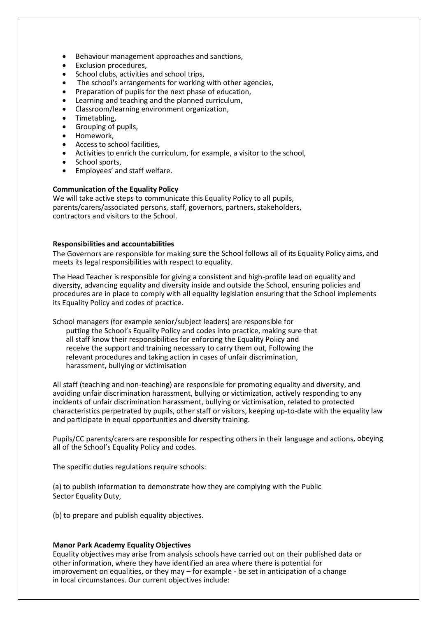- Behaviour management approaches and sanctions,
- Exclusion procedures,
- School clubs, activities and school trips,
- The school's arrangements for working with other agencies,
- Preparation of pupils for the next phase of education,
- Learning and teaching and the planned curriculum,
- Classroom/learning environment organization,
- Timetabling,
- Grouping of pupils,
- Homework,
- Access to school facilities,
- Activities to enrich the curriculum, for example, a visitor to the school,
- School sports,
- Employees' and staff welfare.

#### **Communication of the Equality Policy**

We will take active steps to communicate this Equality Policy to all pupils, parents/carers/associated persons, staff, governors, partners, stakeholders, contractors and visitors to the School.

#### **Responsibilities and accountabilities**

The Governors are responsible for making sure the School follows all of its Equality Policy aims, and meets its legal responsibilities with respect to equality.

The Head Teacher is responsible for giving a consistent and high-profile lead on equality and diversity, advancing equality and diversity inside and outside the School, ensuring policies and procedures are in place to comply with all equality legislation ensuring that the School implements its Equality Policy and codes of practice.

School managers (for example senior/subject leaders) are responsible for putting the School's Equality Policy and codes into practice, making sure that all staff know their responsibilities for enforcing the Equality Policy and receive the support and training necessary to carry them out, Following the relevant procedures and taking action in cases of unfair discrimination, harassment, bullying or victimisation

All staff (teaching and non-teaching) are responsible for promoting equality and diversity, and avoiding unfair discrimination harassment, bullying or victimization, actively responding to any incidents of unfair discrimination harassment, bullying or victimisation, related to protected characteristics perpetrated by pupils, other staff or visitors, keeping up-to-date with the equality law and participate in equal opportunities and diversity training.

Pupils/CC parents/carers are responsible for respecting others in their language and actions, obeying all of the School's Equality Policy and codes.

The specific duties regulations require schools:

(a) to publish information to demonstrate how they are complying with the Public Sector Equality Duty,

(b) to prepare and publish equality objectives.

#### **Manor Park Academy Equality Objectives**

Equality objectives may arise from analysis schools have carried out on their published data or other information, where they have identified an area where there is potential for improvement on equalities, or they may – for example - be set in anticipation of a change in local circumstances. Our current objectives include: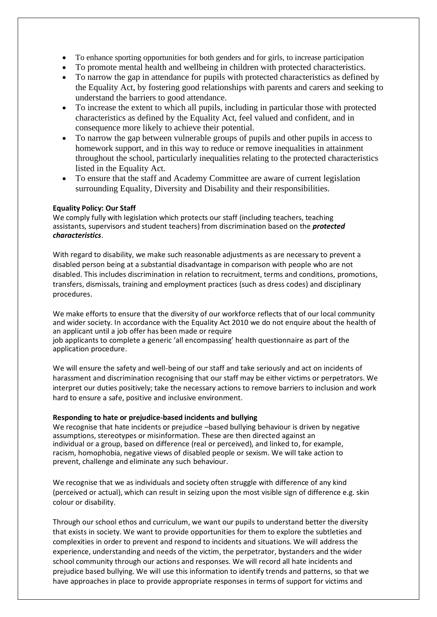• To enhance sporting opportunities for both genders and for girls, to increase participation

- To promote mental health and wellbeing in children with protected characteristics.
- To narrow the gap in attendance for pupils with protected characteristics as defined by the Equality Act, by fostering good relationships with parents and carers and seeking to understand the barriers to good attendance.
- To increase the extent to which all pupils, including in particular those with protected characteristics as defined by the Equality Act, feel valued and confident, and in consequence more likely to achieve their potential.
- To narrow the gap between vulnerable groups of pupils and other pupils in access to homework support, and in this way to reduce or remove inequalities in attainment throughout the school, particularly inequalities relating to the protected characteristics listed in the Equality Act.
- To ensure that the staff and Academy Committee are aware of current legislation surrounding Equality, Diversity and Disability and their responsibilities.

## **Equality Policy: Our Staff**

We comply fully with legislation which protects our staff (including teachers, teaching assistants, supervisors and student teachers) from discrimination based on the *protected characteristics*.

With regard to disability, we make such reasonable adjustments as are necessary to prevent a disabled person being at a substantial disadvantage in comparison with people who are not disabled. This includes discrimination in relation to recruitment, terms and conditions, promotions, transfers, dismissals, training and employment practices (such as dress codes) and disciplinary procedures.

We make efforts to ensure that the diversity of our workforce reflects that of our local community and wider society. In accordance with the Equality Act 2010 we do not enquire about the health of an applicant until a job offer has been made or require

job applicants to complete a generic 'all encompassing' health questionnaire as part of the application procedure.

We will ensure the safety and well-being of our staff and take seriously and act on incidents of harassment and discrimination recognising that our staff may be either victims or perpetrators. We interpret our duties positively; take the necessary actions to remove barriers to inclusion and work hard to ensure a safe, positive and inclusive environment.

## **Responding to hate or prejudice-based incidents and bullying**

We recognise that hate incidents or prejudice –based bullying behaviour is driven by negative assumptions, stereotypes or misinformation. These are then directed against an individual or a group, based on difference (real or perceived), and linked to, for example, racism, homophobia, negative views of disabled people or sexism. We will take action to prevent, challenge and eliminate any such behaviour.

We recognise that we as individuals and society often struggle with difference of any kind (perceived or actual), which can result in seizing upon the most visible sign of difference e.g. skin colour or disability.

Through our school ethos and curriculum, we want our pupils to understand better the diversity that exists in society. We want to provide opportunities for them to explore the subtleties and complexities in order to prevent and respond to incidents and situations. We will address the experience, understanding and needs of the victim, the perpetrator, bystanders and the wider school community through our actions and responses. We will record all hate incidents and prejudice based bullying. We will use this information to identify trends and patterns, so that we have approaches in place to provide appropriate responses in terms of support for victims and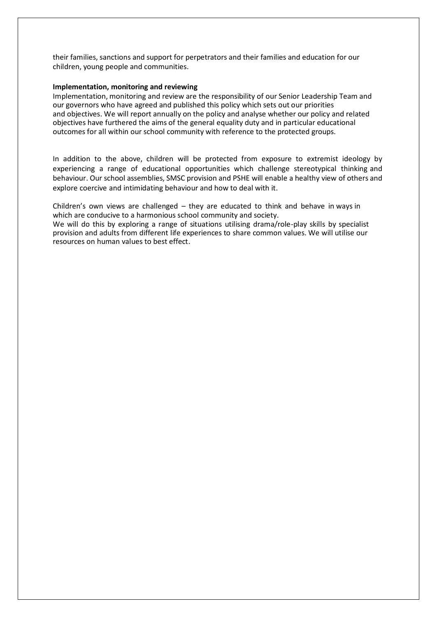their families, sanctions and support for perpetrators and their families and education for our children, young people and communities.

#### **Implementation, monitoring and reviewing**

Implementation, monitoring and review are the responsibility of our Senior Leadership Team and our governors who have agreed and published this policy which sets out our priorities and objectives. We will report annually on the policy and analyse whether our policy and related objectives have furthered the aims of the general equality duty and in particular educational outcomes for all within our school community with reference to the protected groups.

In addition to the above, children will be protected from exposure to extremist ideology by experiencing a range of educational opportunities which challenge stereotypical thinking and behaviour. Our school assemblies, SMSC provision and PSHE will enable a healthy view of others and explore coercive and intimidating behaviour and how to deal with it.

Children's own views are challenged – they are educated to think and behave in ways in which are conducive to a harmonious school community and society.

We will do this by exploring a range of situations utilising drama/role-play skills by specialist provision and adults from different life experiences to share common values. We will utilise our resources on human values to best effect.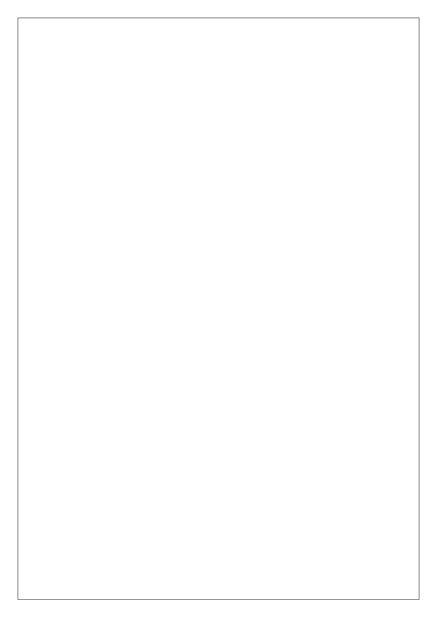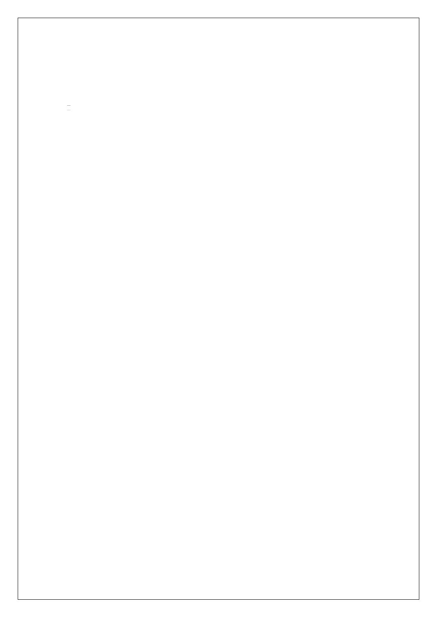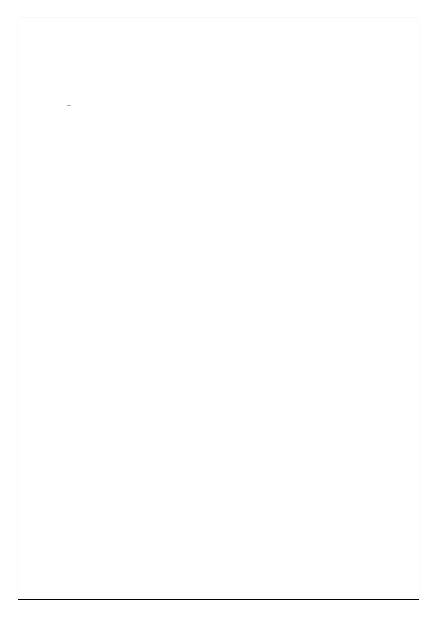